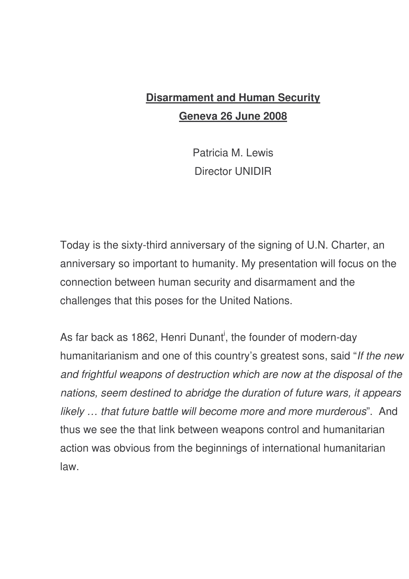## **Disarmament and Human Security Geneva 26 June 2008**

Patricia M. Lewis Director UNIDIR

Today is the sixty-third anniversary of the signing of U.N. Charter, an anniversary so important to humanity. My presentation will focus on the connection between human security and disarmament and the challenges that this poses for the United Nations.

As far back as 1862, Henri Dunant<sup>i</sup>, the founder of modern-day humanitarianism and one of this country's greatest sons, said "*If the new and frightful weapons of destruction which are now at the disposal of the nations, seem destined to abridge the duration of future wars, it appears likely … that future battle will become more and more murderous*". And thus we see the that link between weapons control and humanitarian action was obvious from the beginnings of international humanitarian law.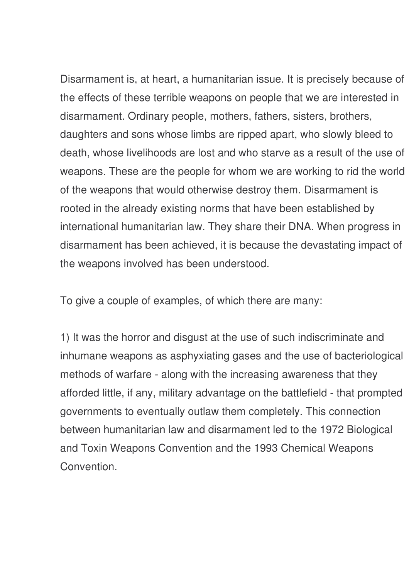Disarmament is, at heart, a humanitarian issue. It is precisely because of the effects of these terrible weapons on people that we are interested in disarmament. Ordinary people, mothers, fathers, sisters, brothers, daughters and sons whose limbs are ripped apart, who slowly bleed to death, whose livelihoods are lost and who starve as a result of the use of weapons. These are the people for whom we are working to rid the world of the weapons that would otherwise destroy them. Disarmament is rooted in the already existing norms that have been established by international humanitarian law. They share their DNA. When progress in disarmament has been achieved, it is because the devastating impact of the weapons involved has been understood.

To give a couple of examples, of which there are many:

1) It was the horror and disgust at the use of such indiscriminate and inhumane weapons as asphyxiating gases and the use of bacteriological methods of warfare - along with the increasing awareness that they afforded little, if any, military advantage on the battlefield - that prompted governments to eventually outlaw them completely. This connection between humanitarian law and disarmament led to the 1972 Biological and Toxin Weapons Convention and the 1993 Chemical Weapons Convention.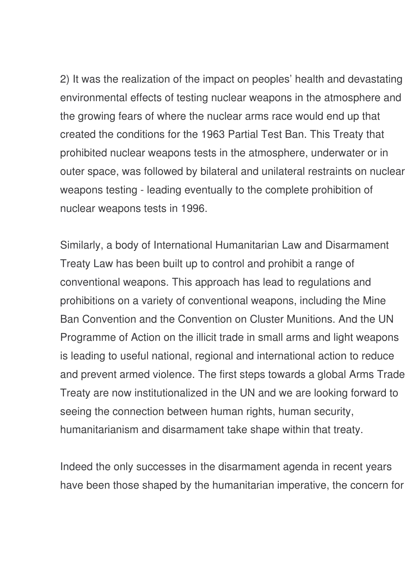2) It was the realization of the impact on peoples' health and devastating environmental effects of testing nuclear weapons in the atmosphere and the growing fears of where the nuclear arms race would end up that created the conditions for the 1963 Partial Test Ban. This Treaty that prohibited nuclear weapons tests in the atmosphere, underwater or in outer space, was followed by bilateral and unilateral restraints on nuclear weapons testing - leading eventually to the complete prohibition of nuclear weapons tests in 1996.

Similarly, a body of International Humanitarian Law and Disarmament Treaty Law has been built up to control and prohibit a range of conventional weapons. This approach has lead to regulations and prohibitions on a variety of conventional weapons, including the Mine Ban Convention and the Convention on Cluster Munitions. And the UN Programme of Action on the illicit trade in small arms and light weapons is leading to useful national, regional and international action to reduce and prevent armed violence. The first steps towards a global Arms Trade Treaty are now institutionalized in the UN and we are looking forward to seeing the connection between human rights, human security, humanitarianism and disarmament take shape within that treaty.

Indeed the only successes in the disarmament agenda in recent years have been those shaped by the humanitarian imperative, the concern for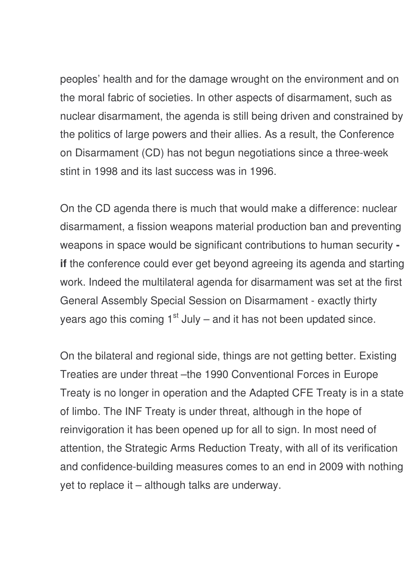peoples' health and for the damage wrought on the environment and on the moral fabric of societies. In other aspects of disarmament, such as nuclear disarmament, the agenda is still being driven and constrained by the politics of large powers and their allies. As a result, the Conference on Disarmament (CD) has not begun negotiations since a three-week stint in 1998 and its last success was in 1996.

On the CD agenda there is much that would make a difference: nuclear disarmament, a fission weapons material production ban and preventing weapons in space would be significant contributions to human security  **if** the conference could ever get beyond agreeing its agenda and starting work. Indeed the multilateral agenda for disarmament was set at the first General Assembly Special Session on Disarmament - exactly thirty years ago this coming 1<sup>st</sup> July – and it has not been updated since.

On the bilateral and regional side, things are not getting better. Existing Treaties are under threat –the 1990 Conventional Forces in Europe Treaty is no longer in operation and the Adapted CFE Treaty is in a state of limbo. The INF Treaty is under threat, although in the hope of reinvigoration it has been opened up for all to sign. In most need of attention, the Strategic Arms Reduction Treaty, with all of its verification and confidence-building measures comes to an end in 2009 with nothing yet to replace it – although talks are underway.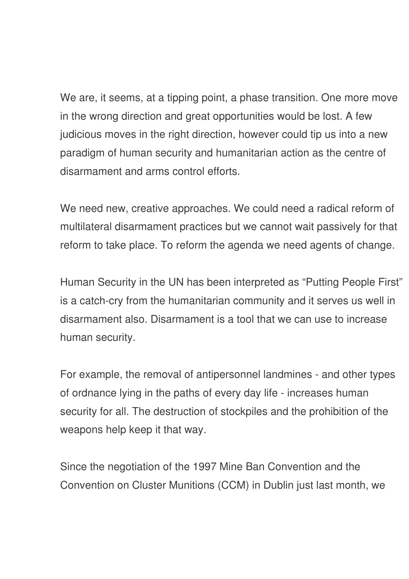We are, it seems, at a tipping point, a phase transition. One more move in the wrong direction and great opportunities would be lost. A few judicious moves in the right direction, however could tip us into a new paradigm of human security and humanitarian action as the centre of disarmament and arms control efforts.

We need new, creative approaches. We could need a radical reform of multilateral disarmament practices but we cannot wait passively for that reform to take place. To reform the agenda we need agents of change.

Human Security in the UN has been interpreted as "Putting People First" is a catch-cry from the humanitarian community and it serves us well in disarmament also. Disarmament is a tool that we can use to increase human security.

For example, the removal of antipersonnel landmines - and other types of ordnance lying in the paths of every day life - increases human security for all. The destruction of stockpiles and the prohibition of the weapons help keep it that way.

Since the negotiation of the 1997 Mine Ban Convention and the Convention on Cluster Munitions (CCM) in Dublin just last month, we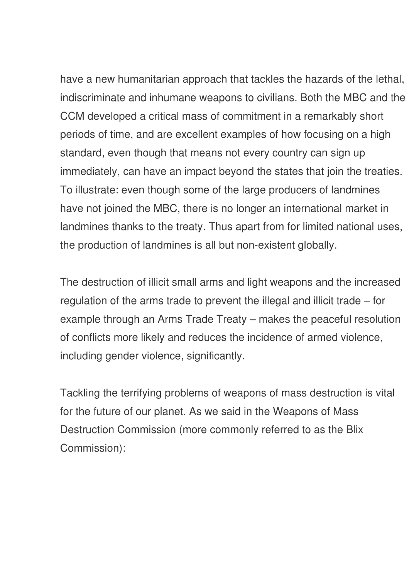have a new humanitarian approach that tackles the hazards of the lethal, indiscriminate and inhumane weapons to civilians. Both the MBC and the CCM developed a critical mass of commitment in a remarkably short periods of time, and are excellent examples of how focusing on a high standard, even though that means not every country can sign up immediately, can have an impact beyond the states that join the treaties. To illustrate: even though some of the large producers of landmines have not joined the MBC, there is no longer an international market in landmines thanks to the treaty. Thus apart from for limited national uses, the production of landmines is all but non-existent globally.

The destruction of illicit small arms and light weapons and the increased regulation of the arms trade to prevent the illegal and illicit trade – for example through an Arms Trade Treaty – makes the peaceful resolution of conflicts more likely and reduces the incidence of armed violence, including gender violence, significantly.

Tackling the terrifying problems of weapons of mass destruction is vital for the future of our planet. As we said in the Weapons of Mass Destruction Commission (more commonly referred to as the Blix Commission):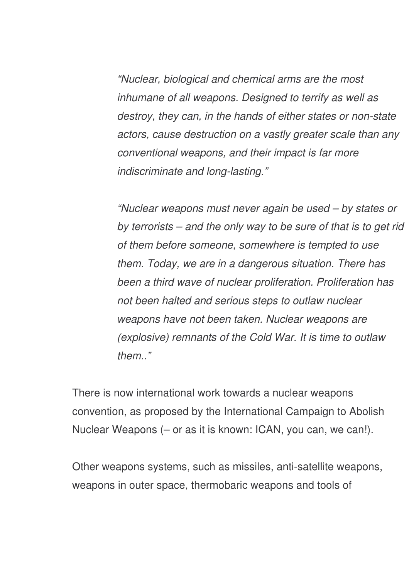*"Nuclear, biological and chemical arms are the most inhumane of all weapons. Designed to terrify as well as destroy, they can, in the hands of either states or non-state actors, cause destruction on a vastly greater scale than any conventional weapons, and their impact is far more indiscriminate and long-lasting."*

*"Nuclear weapons must never again be used – by states or by terrorists – and the only way to be sure of that is to get rid of them before someone, somewhere is tempted to use them. Today, we are in a dangerous situation. There has been a third wave of nuclear proliferation. Proliferation has not been halted and serious steps to outlaw nuclear weapons have not been taken. Nuclear weapons are (explosive) remnants of the Cold War. It is time to outlaw them.."*

There is now international work towards a nuclear weapons convention, as proposed by the International Campaign to Abolish Nuclear Weapons (– or as it is known: ICAN, you can, we can!).

Other weapons systems, such as missiles, anti-satellite weapons, weapons in outer space, thermobaric weapons and tools of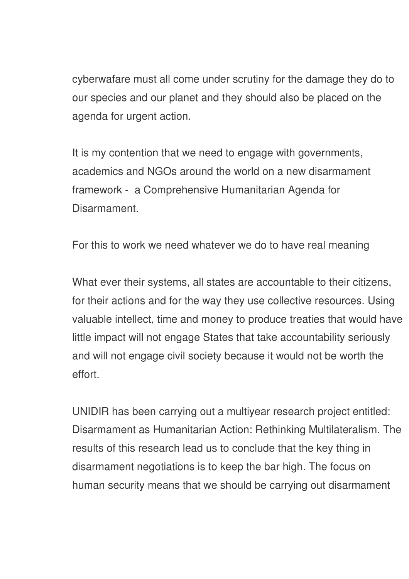cyberwafare must all come under scrutiny for the damage they do to our species and our planet and they should also be placed on the agenda for urgent action.

It is my contention that we need to engage with governments, academics and NGOs around the world on a new disarmament framework - a Comprehensive Humanitarian Agenda for Disarmament.

For this to work we need whatever we do to have real meaning

What ever their systems, all states are accountable to their citizens, for their actions and for the way they use collective resources. Using valuable intellect, time and money to produce treaties that would have little impact will not engage States that take accountability seriously and will not engage civil society because it would not be worth the effort.

UNIDIR has been carrying out a multiyear research project entitled: Disarmament as Humanitarian Action: Rethinking Multilateralism. The results of this research lead us to conclude that the key thing in disarmament negotiations is to keep the bar high. The focus on human security means that we should be carrying out disarmament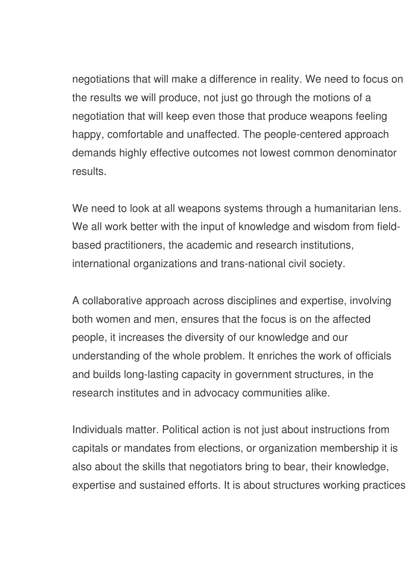negotiations that will make a difference in reality. We need to focus on the results we will produce, not just go through the motions of a negotiation that will keep even those that produce weapons feeling happy, comfortable and unaffected. The people-centered approach demands highly effective outcomes not lowest common denominator results.

We need to look at all weapons systems through a humanitarian lens. We all work better with the input of knowledge and wisdom from fieldbased practitioners, the academic and research institutions, international organizations and trans-national civil society.

A collaborative approach across disciplines and expertise, involving both women and men, ensures that the focus is on the affected people, it increases the diversity of our knowledge and our understanding of the whole problem. It enriches the work of officials and builds long-lasting capacity in government structures, in the research institutes and in advocacy communities alike.

Individuals matter. Political action is not just about instructions from capitals or mandates from elections, or organization membership it is also about the skills that negotiators bring to bear, their knowledge, expertise and sustained efforts. It is about structures working practices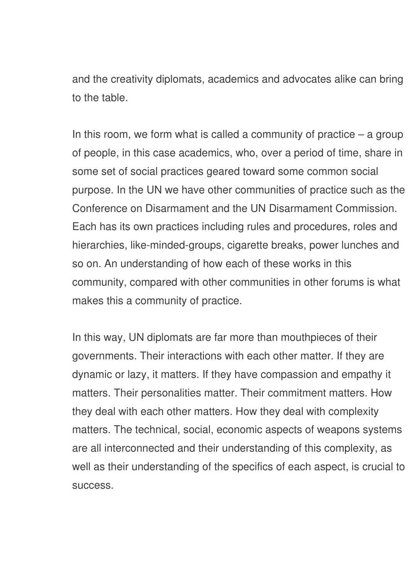and the creativity diplomats, academics and advocates alike can bring to the table.

In this room, we form what is called a community of practice  $-$  a group of people, in this case academics, who, over a period of time, share in some set of social practices geared toward some common social purpose. In the UN we have other communities of practice such as the Conference on Disarmament and the UN Disarmament Commission. Each has its own practices including rules and procedures, roles and hierarchies, like-minded-groups, cigarette breaks, power lunches and so on. An understanding of how each of these works in this community, compared with other communities in other forums is what makes this a community of practice.

In this way, UN diplomats are far more than mouthpieces of their governments. Their interactions with each other matter. If they are dynamic or lazy, it matters. If they have compassion and empathy it matters. Their personalities matter. Their commitment matters. How they deal with each other matters. How they deal with complexity matters. The technical, social, economic aspects of weapons systems are all interconnected and their understanding of this complexity, as well as their understanding of the specifics of each aspect, is crucial to success.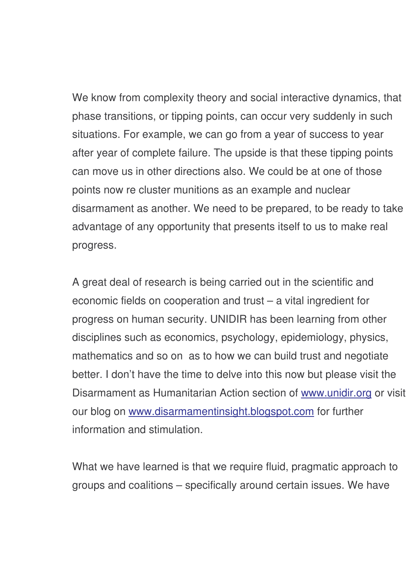We know from complexity theory and social interactive dynamics, that phase transitions, or tipping points, can occur very suddenly in such situations. For example, we can go from a year of success to year after year of complete failure. The upside is that these tipping points can move us in other directions also. We could be at one of those points now re cluster munitions as an example and nuclear disarmament as another. We need to be prepared, to be ready to take advantage of any opportunity that presents itself to us to make real progress.

A great deal of research is being carried out in the scientific and economic fields on cooperation and trust – a vital ingredient for progress on human security. UNIDIR has been learning from other disciplines such as economics, psychology, epidemiology, physics, mathematics and so on as to how we can build trust and negotiate better. I don't have the time to delve into this now but please visit the Disarmament as Humanitarian Action section of www.unidir.org or visit our blog on www.disarmamentinsight.blogspot.com for further information and stimulation.

What we have learned is that we require fluid, pragmatic approach to groups and coalitions – specifically around certain issues. We have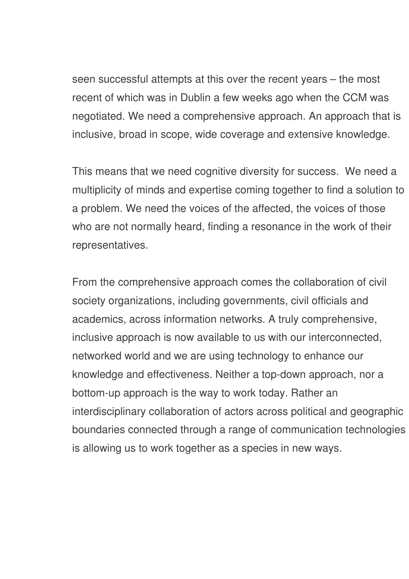seen successful attempts at this over the recent years – the most recent of which was in Dublin a few weeks ago when the CCM was negotiated. We need a comprehensive approach. An approach that is inclusive, broad in scope, wide coverage and extensive knowledge.

This means that we need cognitive diversity for success. We need a multiplicity of minds and expertise coming together to find a solution to a problem. We need the voices of the affected, the voices of those who are not normally heard, finding a resonance in the work of their representatives.

From the comprehensive approach comes the collaboration of civil society organizations, including governments, civil officials and academics, across information networks. A truly comprehensive, inclusive approach is now available to us with our interconnected, networked world and we are using technology to enhance our knowledge and effectiveness. Neither a top-down approach, nor a bottom-up approach is the way to work today. Rather an interdisciplinary collaboration of actors across political and geographic boundaries connected through a range of communication technologies is allowing us to work together as a species in new ways.